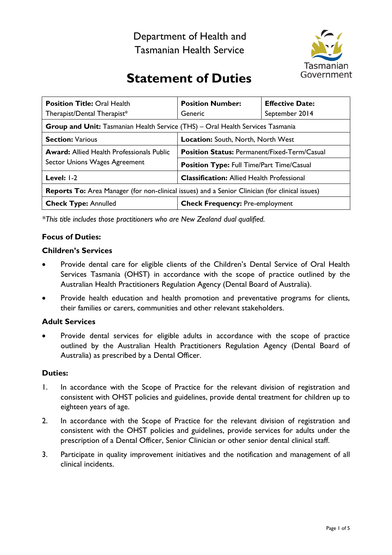Department of Health and Tasmanian Health Service



# **Statement of Duties**

| <b>Position Title: Oral Health</b><br>Therapist/Dental Therapist*                                      | <b>Position Number:</b><br>Generic                  | <b>Effective Date:</b><br>September 2014 |
|--------------------------------------------------------------------------------------------------------|-----------------------------------------------------|------------------------------------------|
| <b>Group and Unit:</b> Tasmanian Health Service (THS) – Oral Health Services Tasmania                  |                                                     |                                          |
| <b>Section: Various</b>                                                                                | Location: South, North, North West                  |                                          |
| <b>Award:</b> Allied Health Professionals Public<br>Sector Unions Wages Agreement                      | <b>Position Status: Permanent/Fixed-Term/Casual</b> |                                          |
|                                                                                                        | Position Type: Full Time/Part Time/Casual           |                                          |
| Level: $1-2$                                                                                           | <b>Classification:</b> Allied Health Professional   |                                          |
| <b>Reports To:</b> Area Manager (for non-clinical issues) and a Senior Clinician (for clinical issues) |                                                     |                                          |
| <b>Check Type: Annulled</b>                                                                            | <b>Check Frequency: Pre-employment</b>              |                                          |

*\*This title includes those practitioners who are New Zealand dual qualified.*

# **Focus of Duties:**

# **Children's Services**

- Provide dental care for eligible clients of the Children's Dental Service of Oral Health Services Tasmania (OHST) in accordance with the scope of practice outlined by the Australian Health Practitioners Regulation Agency (Dental Board of Australia).
- Provide health education and health promotion and preventative programs for clients, their families or carers, communities and other relevant stakeholders.

# **Adult Services**

Provide dental services for eligible adults in accordance with the scope of practice outlined by the Australian Health Practitioners Regulation Agency (Dental Board of Australia) as prescribed by a Dental Officer.

#### **Duties:**

- 1. In accordance with the Scope of Practice for the relevant division of registration and consistent with OHST policies and guidelines, provide dental treatment for children up to eighteen years of age.
- 2. In accordance with the Scope of Practice for the relevant division of registration and consistent with the OHST policies and guidelines, provide services for adults under the prescription of a Dental Officer, Senior Clinician or other senior dental clinical staff.
- 3. Participate in quality improvement initiatives and the notification and management of all clinical incidents.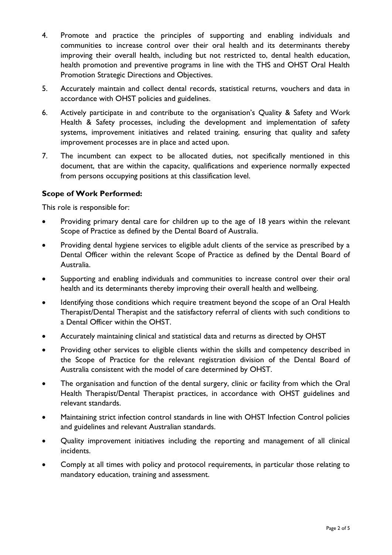- 4. Promote and practice the principles of supporting and enabling individuals and communities to increase control over their oral health and its determinants thereby improving their overall health, including but not restricted to, dental health education, health promotion and preventive programs in line with the THS and OHST Oral Health Promotion Strategic Directions and Objectives.
- 5. Accurately maintain and collect dental records, statistical returns, vouchers and data in accordance with OHST policies and guidelines.
- 6. Actively participate in and contribute to the organisation's Quality & Safety and Work Health & Safety processes, including the development and implementation of safety systems, improvement initiatives and related training, ensuring that quality and safety improvement processes are in place and acted upon.
- 7. The incumbent can expect to be allocated duties, not specifically mentioned in this document, that are within the capacity, qualifications and experience normally expected from persons occupying positions at this classification level.

# **Scope of Work Performed:**

This role is responsible for:

- Providing primary dental care for children up to the age of 18 years within the relevant Scope of Practice as defined by the Dental Board of Australia.
- Providing dental hygiene services to eligible adult clients of the service as prescribed by a Dental Officer within the relevant Scope of Practice as defined by the Dental Board of Australia.
- Supporting and enabling individuals and communities to increase control over their oral health and its determinants thereby improving their overall health and wellbeing.
- Identifying those conditions which require treatment beyond the scope of an Oral Health Therapist/Dental Therapist and the satisfactory referral of clients with such conditions to a Dental Officer within the OHST.
- Accurately maintaining clinical and statistical data and returns as directed by OHST
- Providing other services to eligible clients within the skills and competency described in the Scope of Practice for the relevant registration division of the Dental Board of Australia consistent with the model of care determined by OHST.
- The organisation and function of the dental surgery, clinic or facility from which the Oral Health Therapist/Dental Therapist practices, in accordance with OHST guidelines and relevant standards.
- Maintaining strict infection control standards in line with OHST Infection Control policies and guidelines and relevant Australian standards.
- Quality improvement initiatives including the reporting and management of all clinical incidents.
- Comply at all times with policy and protocol requirements, in particular those relating to mandatory education, training and assessment.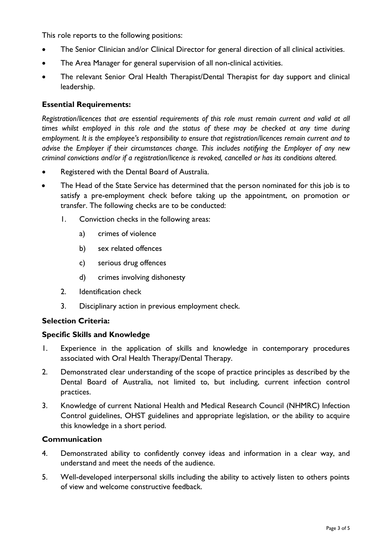This role reports to the following positions:

- The Senior Clinician and/or Clinical Director for general direction of all clinical activities.
- The Area Manager for general supervision of all non-clinical activities.
- The relevant Senior Oral Health Therapist/Dental Therapist for day support and clinical leadership.

## **Essential Requirements:**

*Registration/licences that are essential requirements of this role must remain current and valid at all times whilst employed in this role and the status of these may be checked at any time during employment. It is the employee's responsibility to ensure that registration/licences remain current and to advise the Employer if their circumstances change. This includes notifying the Employer of any new criminal convictions and/or if a registration/licence is revoked, cancelled or has its conditions altered.*

- Registered with the Dental Board of Australia.
- The Head of the State Service has determined that the person nominated for this job is to satisfy a pre-employment check before taking up the appointment, on promotion or transfer. The following checks are to be conducted:
	- 1. Conviction checks in the following areas:
		- a) crimes of violence
		- b) sex related offences
		- c) serious drug offences
		- d) crimes involving dishonesty
	- 2. Identification check
	- 3. Disciplinary action in previous employment check.

#### **Selection Criteria:**

#### **Specific Skills and Knowledge**

- 1. Experience in the application of skills and knowledge in contemporary procedures associated with Oral Health Therapy/Dental Therapy.
- 2. Demonstrated clear understanding of the scope of practice principles as described by the Dental Board of Australia, not limited to, but including, current infection control practices.
- 3. Knowledge of current National Health and Medical Research Council (NHMRC) Infection Control guidelines, OHST guidelines and appropriate legislation, or the ability to acquire this knowledge in a short period.

#### **Communication**

- 4. Demonstrated ability to confidently convey ideas and information in a clear way, and understand and meet the needs of the audience.
- 5. Well-developed interpersonal skills including the ability to actively listen to others points of view and welcome constructive feedback.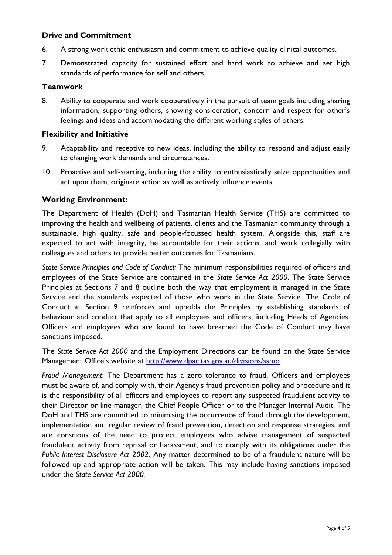## **Drive and Commitment**

- 6. A strong work ethic enthusiasm and commitment to achieve quality clinical outcomes.
- 7. Demonstrated capacity for sustained effort and hard work to achieve and set high standards of performance for self and others.

## **Teamwork**

8. Ability to cooperate and work cooperatively in the pursuit of team goals including sharing information, supporting others, showing consideration, concern and respect for other's feelings and ideas and accommodating the different working styles of others.

#### **Flexibility and Initiative**

- 9. Adaptability and receptive to new ideas, including the ability to respond and adjust easily to changing work demands and circumstances.
- 10. Proactive and self-starting, including the ability to enthusiastically seize opportunities and act upon them, originate action as well as actively influence events.

# **Working Environment:**

The Department of Health (DoH) and Tasmanian Health Service (THS) are committed to improving the health and wellbeing of patients, clients and the Tasmanian community through a sustainable, high quality, safe and people-focussed health system. Alongside this, staff are expected to act with integrity, be accountable for their actions, and work collegially with colleagues and others to provide better outcomes for Tasmanians.

*State Service Principles and Code of Conduct:* The minimum responsibilities required of officers and employees of the State Service are contained in the *State Service Act 2000*. The State Service Principles at Sections 7 and 8 outline both the way that employment is managed in the State Service and the standards expected of those who work in the State Service. The Code of Conduct at Section 9 reinforces and upholds the Principles by establishing standards of behaviour and conduct that apply to all employees and officers, including Heads of Agencies. Officers and employees who are found to have breached the Code of Conduct may have sanctions imposed.

The *State Service Act 2000* and the Employment Directions can be found on the State Service Management Office's website at<http://www.dpac.tas.gov.au/divisions/ssmo>

*Fraud Management*: The Department has a zero tolerance to fraud. Officers and employees must be aware of, and comply with, their Agency's fraud prevention policy and procedure and it is the responsibility of all officers and employees to report any suspected fraudulent activity to their Director or line manager, the Chief People Officer or to the Manager Internal Audit. The DoH and THS are committed to minimising the occurrence of fraud through the development, implementation and regular review of fraud prevention, detection and response strategies, and are conscious of the need to protect employees who advise management of suspected fraudulent activity from reprisal or harassment, and to comply with its obligations under the *Public Interest Disclosure Act 2002*. Any matter determined to be of a fraudulent nature will be followed up and appropriate action will be taken. This may include having sanctions imposed under the *State Service Act 2000.*